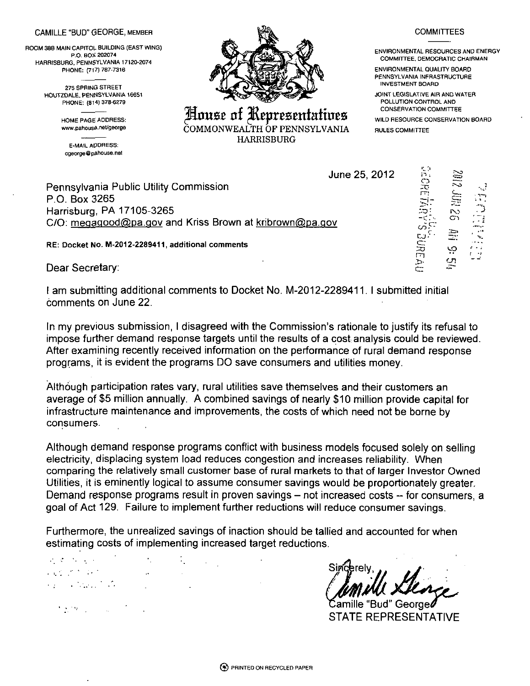## CAMILLE "BUD" GEORGE, MEMBER

ROOM 38B MAIN CAPITOL- BUILDING (EAST WING) P.O. BOX 202074 HARRISBURG, PENNSYLVANIA 17120-2074 PHONE: (717) 787-7316

> 275 SPRING STREET HOUTZDALE. PENNSYLVANIA 16651 PHONE: (814) 378-6279

> > HOME PAGE ADDRESS: www.pahouse.net/george

E-MAIL AO OR ESS: cgeorge@paliou5e.net



House of Representatives COMMONWEALTH OF PENNSYLVANIA HARRISBURG

## **COMMITTEES**

ENVIRONMENTAL RESOURCES AND ENERGY COMMITTEE, DEMOCRATIC CHAIRMAN

ENVIRONMENTAL QUALITY BOARD PENNSYLVANIA INFRASTRUCTURE INVESTMENT BOARD

JOINT LEGISLATIVE AIR AND WATER POLLUTION CONTROL AND CONSERVATION COMMITTEE

> '1, \*\* j ~ i  $\mathbb{C}$

**r**   $\Xi$ 

rn >>.

-'-o • ^ . **S'~**  ro **. J**  cn **' ~i** 

CJ1

**.' - ;** 

WILD RESOURCE CONSERVATION BOARD

RULES COMMITTEE

**June 25, 2012** 

**Pennsylvania Public Utility Commission P.O. Box 3265 Harrisburg, PA 17105-3265 C/O: mea3goocl@pa.qov and Kriss Brown at kribrown@pa.qov** 

**RE: Docket No. M-2012-2289411, additional comments** 

**Dear Secretary:** 

**I am submitting additional comments to Docket No. M-2012-2289411. I submitted initial comments on June 22.** 

al to<br>'wed.<br>'' <br>for<br>for **In my previous submission, I disagreed with the Commission's rationale to justify its refusal to impose further demand response targets until the results of a cost analysis could be reviewed. After examining recently received information on the performance of rural demand response programs, it is evident the programs DO save consumers and utilities money.** 

**Although participation rates vary, rural utilities save themselves and their customers an average of \$5 million annually. A combined savings of nearly \$10 million provide capital for infrastructure maintenance and improvements, the costs of which need not be borne by consumers.** 

**Although demand response programs conflict with business models focused solely on selling electricity, displacing system load reduces congestion and increases reliability. When comparing the relatively small customer base of rural markets to that of larger Investor Owned**  Utilities, it is eminently logical to assume consumer savings would be proportionately greater. Demand response programs result in proven savings – not increased costs – for consumers, a **goal of Act 129. Failure to implement further reductions will reduce consumer savings.** 

**Furthermore, the unrealized savings of inaction should be tallied and accounted for when estimating costs of implementing increased target reductions.** 

 $\mathcal{F}=\mathcal{F}$  $\mathcal{O}(\log n)$ 的复数医无线虫的  $\mathcal{L}_{\mathcal{A}}$  and  $\mathcal{L}_{\mathcal{A}}$  and  $\mathcal{L}_{\mathcal{A}}$  erelv

**lamille "Bud" George\* STATE REPRESENTATIVE** 

 $\mathcal{F}(\mathcal{D},\mathcal{D})$  , where  $\mathcal{F}(\mathcal{D})$